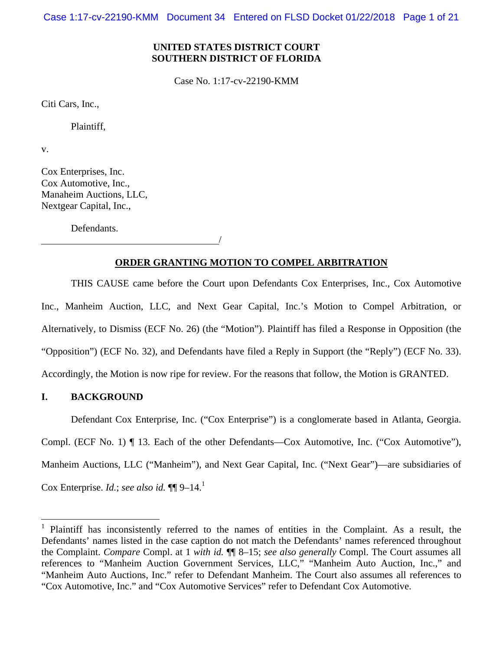Case 1:17-cv-22190-KMM Document 34 Entered on FLSD Docket 01/22/2018 Page 1 of 21

# **UNITED STATES DISTRICT COURT SOUTHERN DISTRICT OF FLORIDA**

Case No. 1:17-cv-22190-KMM

Citi Cars, Inc.,

Plaintiff,

v.

Cox Enterprises, Inc. Cox Automotive, Inc., Manaheim Auctions, LLC, Nextgear Capital, Inc.,

Defendants.

/

## **ORDER GRANTING MOTION TO COMPEL ARBITRATION**

THIS CAUSE came before the Court upon Defendants Cox Enterprises, Inc., Cox Automotive Inc., Manheim Auction, LLC, and Next Gear Capital, Inc.'s Motion to Compel Arbitration, or Alternatively, to Dismiss (ECF No. 26) (the "Motion"). Plaintiff has filed a Response in Opposition (the "Opposition") (ECF No. 32), and Defendants have filed a Reply in Support (the "Reply") (ECF No. 33). Accordingly, the Motion is now ripe for review. For the reasons that follow, the Motion is GRANTED.

# **I. BACKGROUND**

 $\overline{a}$ 

Defendant Cox Enterprise, Inc. ("Cox Enterprise") is a conglomerate based in Atlanta, Georgia. Compl. (ECF No. 1) ¶ 13. Each of the other Defendants—Cox Automotive, Inc. ("Cox Automotive"), Manheim Auctions, LLC ("Manheim"), and Next Gear Capital, Inc. ("Next Gear")—are subsidiaries of Cox Enterprise. *Id.*; *see also id.*  $\P\P$ 9–14.<sup>1</sup>

<sup>1</sup> Plaintiff has inconsistently referred to the names of entities in the Complaint. As a result, the Defendants' names listed in the case caption do not match the Defendants' names referenced throughout the Complaint. *Compare* Compl. at 1 *with id.* ¶¶ 8–15; *see also generally* Compl. The Court assumes all references to "Manheim Auction Government Services, LLC," "Manheim Auto Auction, Inc.," and "Manheim Auto Auctions, Inc." refer to Defendant Manheim. The Court also assumes all references to "Cox Automotive, Inc." and "Cox Automotive Services" refer to Defendant Cox Automotive.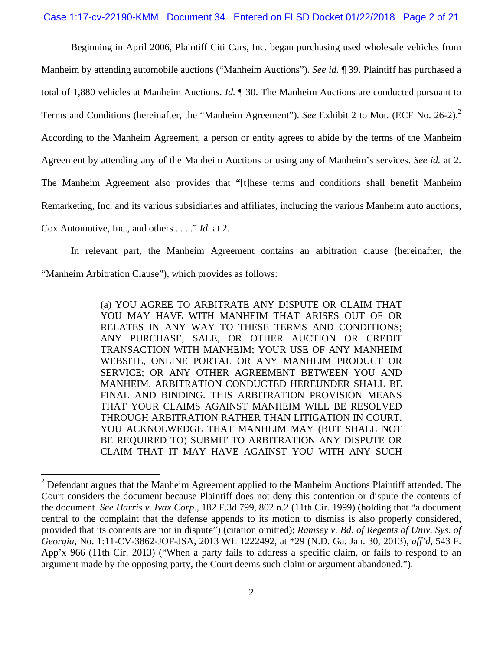## Case 1:17-cv-22190-KMM Document 34 Entered on FLSD Docket 01/22/2018 Page 2 of 21

Beginning in April 2006, Plaintiff Citi Cars, Inc. began purchasing used wholesale vehicles from Manheim by attending automobile auctions ("Manheim Auctions"). *See id.* ¶ 39. Plaintiff has purchased a total of 1,880 vehicles at Manheim Auctions. *Id.* ¶ 30. The Manheim Auctions are conducted pursuant to Terms and Conditions (hereinafter, the "Manheim Agreement"). *See* Exhibit 2 to Mot. (ECF No. 26-2).2 According to the Manheim Agreement, a person or entity agrees to abide by the terms of the Manheim Agreement by attending any of the Manheim Auctions or using any of Manheim's services. *See id.* at 2. The Manheim Agreement also provides that "[t]hese terms and conditions shall benefit Manheim Remarketing, Inc. and its various subsidiaries and affiliates, including the various Manheim auto auctions, Cox Automotive, Inc., and others . . . ." *Id.* at 2.

In relevant part, the Manheim Agreement contains an arbitration clause (hereinafter, the "Manheim Arbitration Clause"), which provides as follows:

> (a) YOU AGREE TO ARBITRATE ANY DISPUTE OR CLAIM THAT YOU MAY HAVE WITH MANHEIM THAT ARISES OUT OF OR RELATES IN ANY WAY TO THESE TERMS AND CONDITIONS; ANY PURCHASE, SALE, OR OTHER AUCTION OR CREDIT TRANSACTION WITH MANHEIM; YOUR USE OF ANY MANHEIM WEBSITE, ONLINE PORTAL OR ANY MANHEIM PRODUCT OR SERVICE; OR ANY OTHER AGREEMENT BETWEEN YOU AND MANHEIM. ARBITRATION CONDUCTED HEREUNDER SHALL BE FINAL AND BINDING. THIS ARBITRATION PROVISION MEANS THAT YOUR CLAIMS AGAINST MANHEIM WILL BE RESOLVED THROUGH ARBITRATION RATHER THAN LITIGATION IN COURT. YOU ACKNOLWEDGE THAT MANHEIM MAY (BUT SHALL NOT BE REQUIRED TO) SUBMIT TO ARBITRATION ANY DISPUTE OR CLAIM THAT IT MAY HAVE AGAINST YOU WITH ANY SUCH

 $2^{2}$  Defendant argues that the Manheim Agreement applied to the Manheim Auctions Plaintiff attended. The Court considers the document because Plaintiff does not deny this contention or dispute the contents of the document. *See Harris v. Ivax Corp.*, 182 F.3d 799, 802 n.2 (11th Cir. 1999) (holding that "a document central to the complaint that the defense appends to its motion to dismiss is also properly considered, provided that its contents are not in dispute") (citation omitted); *Ramsey v. Bd. of Regents of Univ. Sys. of Georgia*, No. 1:11-CV-3862-JOF-JSA, 2013 WL 1222492, at \*29 (N.D. Ga. Jan. 30, 2013), *aff'd*, 543 F. App'x 966 (11th Cir. 2013) ("When a party fails to address a specific claim, or fails to respond to an argument made by the opposing party, the Court deems such claim or argument abandoned.").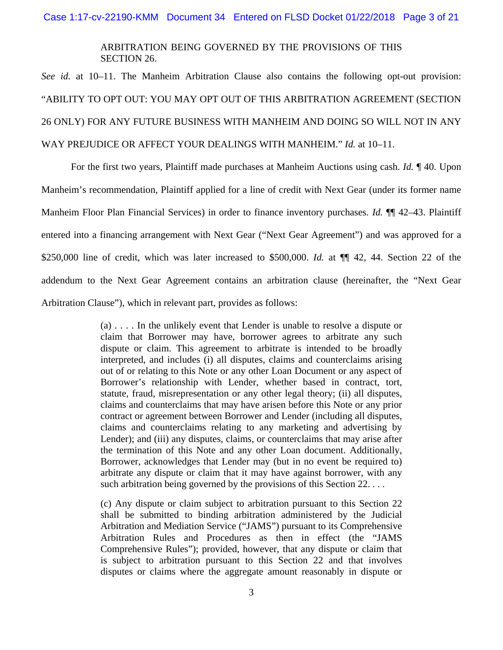## ARBITRATION BEING GOVERNED BY THE PROVISIONS OF THIS SECTION 26.

*See id.* at 10–11. The Manheim Arbitration Clause also contains the following opt-out provision: "ABILITY TO OPT OUT: YOU MAY OPT OUT OF THIS ARBITRATION AGREEMENT (SECTION 26 ONLY) FOR ANY FUTURE BUSINESS WITH MANHEIM AND DOING SO WILL NOT IN ANY WAY PREJUDICE OR AFFECT YOUR DEALINGS WITH MANHEIM." *Id.* at 10–11.

For the first two years, Plaintiff made purchases at Manheim Auctions using cash. *Id.* ¶ 40. Upon Manheim's recommendation, Plaintiff applied for a line of credit with Next Gear (under its former name Manheim Floor Plan Financial Services) in order to finance inventory purchases. *Id.* ¶¶ 42–43. Plaintiff entered into a financing arrangement with Next Gear ("Next Gear Agreement") and was approved for a \$250,000 line of credit, which was later increased to \$500,000. *Id.* at  $\P$  42, 44. Section 22 of the addendum to the Next Gear Agreement contains an arbitration clause (hereinafter, the "Next Gear Arbitration Clause"), which in relevant part, provides as follows:

> (a) . . . . In the unlikely event that Lender is unable to resolve a dispute or claim that Borrower may have, borrower agrees to arbitrate any such dispute or claim. This agreement to arbitrate is intended to be broadly interpreted, and includes (i) all disputes, claims and counterclaims arising out of or relating to this Note or any other Loan Document or any aspect of Borrower's relationship with Lender, whether based in contract, tort, statute, fraud, misrepresentation or any other legal theory; (ii) all disputes, claims and counterclaims that may have arisen before this Note or any prior contract or agreement between Borrower and Lender (including all disputes, claims and counterclaims relating to any marketing and advertising by Lender); and (iii) any disputes, claims, or counterclaims that may arise after the termination of this Note and any other Loan document. Additionally, Borrower, acknowledges that Lender may (but in no event be required to) arbitrate any dispute or claim that it may have against borrower, with any such arbitration being governed by the provisions of this Section 22. ...

> (c) Any dispute or claim subject to arbitration pursuant to this Section 22 shall be submitted to binding arbitration administered by the Judicial Arbitration and Mediation Service ("JAMS") pursuant to its Comprehensive Arbitration Rules and Procedures as then in effect (the "JAMS Comprehensive Rules"); provided, however, that any dispute or claim that is subject to arbitration pursuant to this Section 22 and that involves disputes or claims where the aggregate amount reasonably in dispute or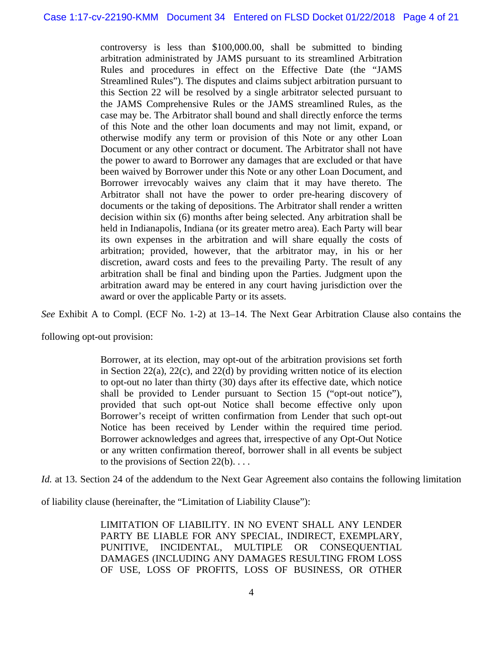controversy is less than \$100,000.00, shall be submitted to binding arbitration administrated by JAMS pursuant to its streamlined Arbitration Rules and procedures in effect on the Effective Date (the "JAMS Streamlined Rules"). The disputes and claims subject arbitration pursuant to this Section 22 will be resolved by a single arbitrator selected pursuant to the JAMS Comprehensive Rules or the JAMS streamlined Rules, as the case may be. The Arbitrator shall bound and shall directly enforce the terms of this Note and the other loan documents and may not limit, expand, or otherwise modify any term or provision of this Note or any other Loan Document or any other contract or document. The Arbitrator shall not have the power to award to Borrower any damages that are excluded or that have been waived by Borrower under this Note or any other Loan Document, and Borrower irrevocably waives any claim that it may have thereto. The Arbitrator shall not have the power to order pre-hearing discovery of documents or the taking of depositions. The Arbitrator shall render a written decision within six (6) months after being selected. Any arbitration shall be held in Indianapolis, Indiana (or its greater metro area). Each Party will bear its own expenses in the arbitration and will share equally the costs of arbitration; provided, however, that the arbitrator may, in his or her discretion, award costs and fees to the prevailing Party. The result of any arbitration shall be final and binding upon the Parties. Judgment upon the arbitration award may be entered in any court having jurisdiction over the award or over the applicable Party or its assets.

*See* Exhibit A to Compl. (ECF No. 1-2) at 13–14. The Next Gear Arbitration Clause also contains the

following opt-out provision:

Borrower, at its election, may opt-out of the arbitration provisions set forth in Section 22(a), 22(c), and 22(d) by providing written notice of its election to opt-out no later than thirty (30) days after its effective date, which notice shall be provided to Lender pursuant to Section 15 ("opt-out notice"), provided that such opt-out Notice shall become effective only upon Borrower's receipt of written confirmation from Lender that such opt-out Notice has been received by Lender within the required time period. Borrower acknowledges and agrees that, irrespective of any Opt-Out Notice or any written confirmation thereof, borrower shall in all events be subject to the provisions of Section  $22(b)$ ...

*Id.* at 13. Section 24 of the addendum to the Next Gear Agreement also contains the following limitation

of liability clause (hereinafter, the "Limitation of Liability Clause"):

LIMITATION OF LIABILITY. IN NO EVENT SHALL ANY LENDER PARTY BE LIABLE FOR ANY SPECIAL, INDIRECT, EXEMPLARY, PUNITIVE, INCIDENTAL, MULTIPLE OR CONSEQUENTIAL DAMAGES (INCLUDING ANY DAMAGES RESULTING FROM LOSS OF USE, LOSS OF PROFITS, LOSS OF BUSINESS, OR OTHER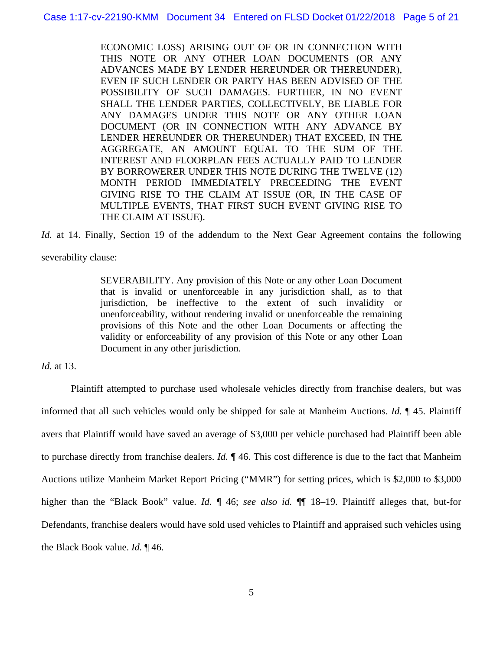ECONOMIC LOSS) ARISING OUT OF OR IN CONNECTION WITH THIS NOTE OR ANY OTHER LOAN DOCUMENTS (OR ANY ADVANCES MADE BY LENDER HEREUNDER OR THEREUNDER), EVEN IF SUCH LENDER OR PARTY HAS BEEN ADVISED OF THE POSSIBILITY OF SUCH DAMAGES. FURTHER, IN NO EVENT SHALL THE LENDER PARTIES, COLLECTIVELY, BE LIABLE FOR ANY DAMAGES UNDER THIS NOTE OR ANY OTHER LOAN DOCUMENT (OR IN CONNECTION WITH ANY ADVANCE BY LENDER HEREUNDER OR THEREUNDER) THAT EXCEED, IN THE AGGREGATE, AN AMOUNT EQUAL TO THE SUM OF THE INTEREST AND FLOORPLAN FEES ACTUALLY PAID TO LENDER BY BORROWERER UNDER THIS NOTE DURING THE TWELVE (12) MONTH PERIOD IMMEDIATELY PRECEEDING THE EVENT GIVING RISE TO THE CLAIM AT ISSUE (OR, IN THE CASE OF MULTIPLE EVENTS, THAT FIRST SUCH EVENT GIVING RISE TO THE CLAIM AT ISSUE).

*Id.* at 14. Finally, Section 19 of the addendum to the Next Gear Agreement contains the following severability clause:

> SEVERABILITY. Any provision of this Note or any other Loan Document that is invalid or unenforceable in any jurisdiction shall, as to that jurisdiction, be ineffective to the extent of such invalidity or unenforceability, without rendering invalid or unenforceable the remaining provisions of this Note and the other Loan Documents or affecting the validity or enforceability of any provision of this Note or any other Loan Document in any other jurisdiction.

*Id.* at 13.

Plaintiff attempted to purchase used wholesale vehicles directly from franchise dealers, but was informed that all such vehicles would only be shipped for sale at Manheim Auctions. *Id.* ¶ 45. Plaintiff avers that Plaintiff would have saved an average of \$3,000 per vehicle purchased had Plaintiff been able to purchase directly from franchise dealers. *Id.* ¶ 46. This cost difference is due to the fact that Manheim Auctions utilize Manheim Market Report Pricing ("MMR") for setting prices, which is \$2,000 to \$3,000 higher than the "Black Book" value. *Id.* ¶ 46; *see also id.* ¶¶ 18–19. Plaintiff alleges that, but-for Defendants, franchise dealers would have sold used vehicles to Plaintiff and appraised such vehicles using the Black Book value. *Id.* ¶ 46.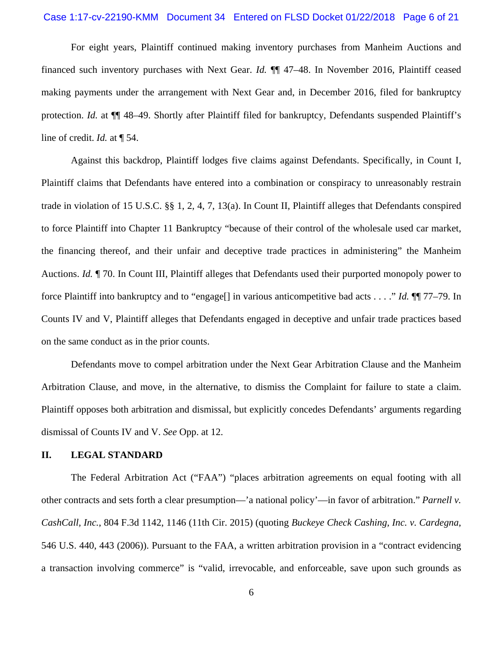#### Case 1:17-cv-22190-KMM Document 34 Entered on FLSD Docket 01/22/2018 Page 6 of 21

For eight years, Plaintiff continued making inventory purchases from Manheim Auctions and financed such inventory purchases with Next Gear. *Id.* ¶¶ 47–48. In November 2016, Plaintiff ceased making payments under the arrangement with Next Gear and, in December 2016, filed for bankruptcy protection. *Id.* at  $\P$  48–49. Shortly after Plaintiff filed for bankruptcy, Defendants suspended Plaintiff's line of credit. *Id.* at ¶ 54.

Against this backdrop, Plaintiff lodges five claims against Defendants. Specifically, in Count I, Plaintiff claims that Defendants have entered into a combination or conspiracy to unreasonably restrain trade in violation of 15 U.S.C. §§ 1, 2, 4, 7, 13(a). In Count II, Plaintiff alleges that Defendants conspired to force Plaintiff into Chapter 11 Bankruptcy "because of their control of the wholesale used car market, the financing thereof, and their unfair and deceptive trade practices in administering" the Manheim Auctions. *Id.* ¶ 70. In Count III, Plaintiff alleges that Defendants used their purported monopoly power to force Plaintiff into bankruptcy and to "engage[] in various anticompetitive bad acts . . . ." *Id.* ¶¶ 77–79. In Counts IV and V, Plaintiff alleges that Defendants engaged in deceptive and unfair trade practices based on the same conduct as in the prior counts.

Defendants move to compel arbitration under the Next Gear Arbitration Clause and the Manheim Arbitration Clause, and move, in the alternative, to dismiss the Complaint for failure to state a claim. Plaintiff opposes both arbitration and dismissal, but explicitly concedes Defendants' arguments regarding dismissal of Counts IV and V. *See* Opp. at 12.

## **II. LEGAL STANDARD**

The Federal Arbitration Act ("FAA") "places arbitration agreements on equal footing with all other contracts and sets forth a clear presumption—'a national policy'—in favor of arbitration." *Parnell v. CashCall, Inc.*, 804 F.3d 1142, 1146 (11th Cir. 2015) (quoting *Buckeye Check Cashing, Inc. v. Cardegna*, 546 U.S. 440, 443 (2006)). Pursuant to the FAA, a written arbitration provision in a "contract evidencing a transaction involving commerce" is "valid, irrevocable, and enforceable, save upon such grounds as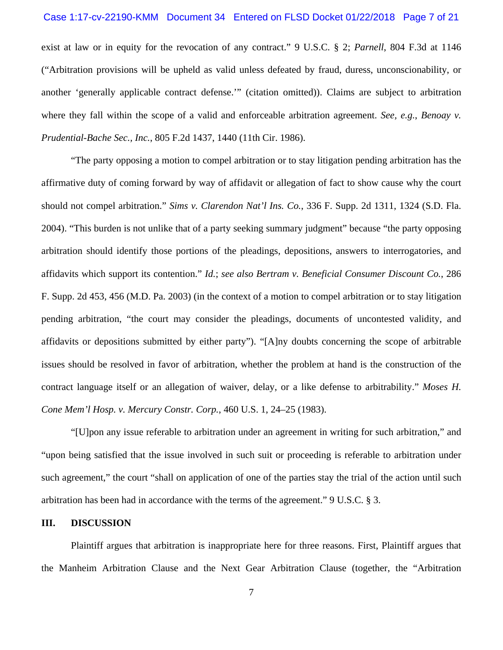#### Case 1:17-cv-22190-KMM Document 34 Entered on FLSD Docket 01/22/2018 Page 7 of 21

exist at law or in equity for the revocation of any contract." 9 U.S.C. § 2; *Parnell*, 804 F.3d at 1146 ("Arbitration provisions will be upheld as valid unless defeated by fraud, duress, unconscionability, or another 'generally applicable contract defense.'" (citation omitted)). Claims are subject to arbitration where they fall within the scope of a valid and enforceable arbitration agreement. *See, e.g.*, *Benoay v. Prudential-Bache Sec., Inc.*, 805 F.2d 1437, 1440 (11th Cir. 1986).

"The party opposing a motion to compel arbitration or to stay litigation pending arbitration has the affirmative duty of coming forward by way of affidavit or allegation of fact to show cause why the court should not compel arbitration." *Sims v. Clarendon Nat'l Ins. Co.*, 336 F. Supp. 2d 1311, 1324 (S.D. Fla. 2004). "This burden is not unlike that of a party seeking summary judgment" because "the party opposing arbitration should identify those portions of the pleadings, depositions, answers to interrogatories, and affidavits which support its contention." *Id.*; *see also Bertram v. Beneficial Consumer Discount Co.*, 286 F. Supp. 2d 453, 456 (M.D. Pa. 2003) (in the context of a motion to compel arbitration or to stay litigation pending arbitration, "the court may consider the pleadings, documents of uncontested validity, and affidavits or depositions submitted by either party"). "[A]ny doubts concerning the scope of arbitrable issues should be resolved in favor of arbitration, whether the problem at hand is the construction of the contract language itself or an allegation of waiver, delay, or a like defense to arbitrability." *Moses H. Cone Mem'l Hosp. v. Mercury Constr. Corp.*, 460 U.S. 1, 24–25 (1983).

"[U]pon any issue referable to arbitration under an agreement in writing for such arbitration," and "upon being satisfied that the issue involved in such suit or proceeding is referable to arbitration under such agreement," the court "shall on application of one of the parties stay the trial of the action until such arbitration has been had in accordance with the terms of the agreement." 9 U.S.C. § 3.

## **III. DISCUSSION**

Plaintiff argues that arbitration is inappropriate here for three reasons. First, Plaintiff argues that the Manheim Arbitration Clause and the Next Gear Arbitration Clause (together, the "Arbitration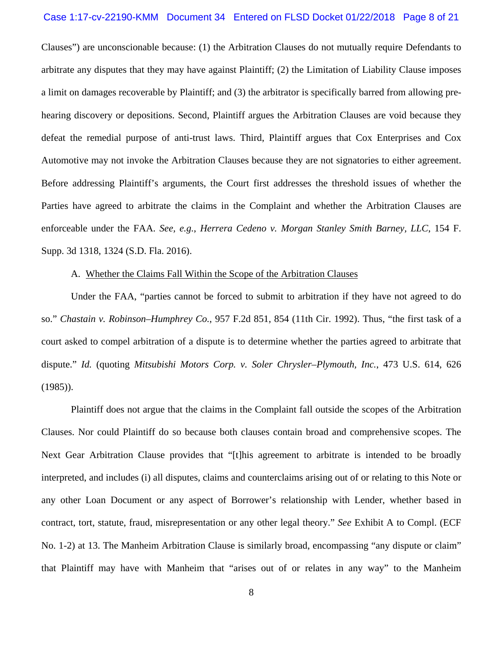#### Case 1:17-cv-22190-KMM Document 34 Entered on FLSD Docket 01/22/2018 Page 8 of 21

Clauses") are unconscionable because: (1) the Arbitration Clauses do not mutually require Defendants to arbitrate any disputes that they may have against Plaintiff; (2) the Limitation of Liability Clause imposes a limit on damages recoverable by Plaintiff; and (3) the arbitrator is specifically barred from allowing prehearing discovery or depositions. Second, Plaintiff argues the Arbitration Clauses are void because they defeat the remedial purpose of anti-trust laws. Third, Plaintiff argues that Cox Enterprises and Cox Automotive may not invoke the Arbitration Clauses because they are not signatories to either agreement. Before addressing Plaintiff's arguments, the Court first addresses the threshold issues of whether the Parties have agreed to arbitrate the claims in the Complaint and whether the Arbitration Clauses are enforceable under the FAA. *See, e.g.*, *Herrera Cedeno v. Morgan Stanley Smith Barney, LLC*, 154 F. Supp. 3d 1318, 1324 (S.D. Fla. 2016).

## A. Whether the Claims Fall Within the Scope of the Arbitration Clauses

Under the FAA, "parties cannot be forced to submit to arbitration if they have not agreed to do so." *Chastain v. Robinson–Humphrey Co.*, 957 F.2d 851, 854 (11th Cir. 1992). Thus, "the first task of a court asked to compel arbitration of a dispute is to determine whether the parties agreed to arbitrate that dispute." *Id.* (quoting *Mitsubishi Motors Corp. v. Soler Chrysler–Plymouth, Inc.*, 473 U.S. 614, 626 (1985)).

Plaintiff does not argue that the claims in the Complaint fall outside the scopes of the Arbitration Clauses. Nor could Plaintiff do so because both clauses contain broad and comprehensive scopes. The Next Gear Arbitration Clause provides that "[t]his agreement to arbitrate is intended to be broadly interpreted, and includes (i) all disputes, claims and counterclaims arising out of or relating to this Note or any other Loan Document or any aspect of Borrower's relationship with Lender, whether based in contract, tort, statute, fraud, misrepresentation or any other legal theory." *See* Exhibit A to Compl. (ECF No. 1-2) at 13. The Manheim Arbitration Clause is similarly broad, encompassing "any dispute or claim" that Plaintiff may have with Manheim that "arises out of or relates in any way" to the Manheim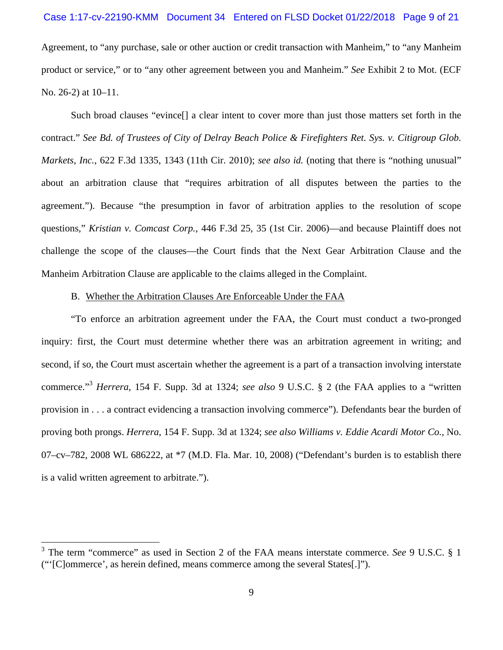## Case 1:17-cv-22190-KMM Document 34 Entered on FLSD Docket 01/22/2018 Page 9 of 21

Agreement, to "any purchase, sale or other auction or credit transaction with Manheim," to "any Manheim product or service," or to "any other agreement between you and Manheim." *See* Exhibit 2 to Mot. (ECF No. 26-2) at 10–11.

Such broad clauses "evince[] a clear intent to cover more than just those matters set forth in the contract." *See Bd. of Trustees of City of Delray Beach Police & Firefighters Ret. Sys. v. Citigroup Glob. Markets, Inc.*, 622 F.3d 1335, 1343 (11th Cir. 2010); *see also id.* (noting that there is "nothing unusual" about an arbitration clause that "requires arbitration of all disputes between the parties to the agreement."). Because "the presumption in favor of arbitration applies to the resolution of scope questions," *Kristian v. Comcast Corp.*, 446 F.3d 25, 35 (1st Cir. 2006)—and because Plaintiff does not challenge the scope of the clauses—the Court finds that the Next Gear Arbitration Clause and the Manheim Arbitration Clause are applicable to the claims alleged in the Complaint.

## B. Whether the Arbitration Clauses Are Enforceable Under the FAA

"To enforce an arbitration agreement under the FAA, the Court must conduct a two-pronged inquiry: first, the Court must determine whether there was an arbitration agreement in writing; and second, if so, the Court must ascertain whether the agreement is a part of a transaction involving interstate commerce."<sup>3</sup>  *Herrera*, 154 F. Supp. 3d at 1324; *see also* 9 U.S.C. § 2 (the FAA applies to a "written provision in . . . a contract evidencing a transaction involving commerce"). Defendants bear the burden of proving both prongs. *Herrera*, 154 F. Supp. 3d at 1324; *see also Williams v. Eddie Acardi Motor Co.,* No. 07–cv–782, 2008 WL 686222, at \*7 (M.D. Fla. Mar. 10, 2008) ("Defendant's burden is to establish there is a valid written agreement to arbitrate.").

<sup>&</sup>lt;sup>3</sup> The term "commerce" as used in Section 2 of the FAA means interstate commerce. *See* 9 U.S.C. § 1 ("'[C]ommerce', as herein defined, means commerce among the several States[.]").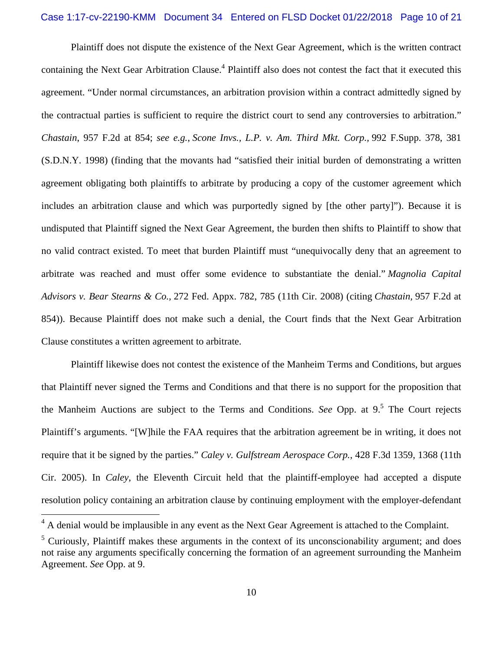#### Case 1:17-cv-22190-KMM Document 34 Entered on FLSD Docket 01/22/2018 Page 10 of 21

Plaintiff does not dispute the existence of the Next Gear Agreement, which is the written contract containing the Next Gear Arbitration Clause.<sup>4</sup> Plaintiff also does not contest the fact that it executed this agreement. "Under normal circumstances, an arbitration provision within a contract admittedly signed by the contractual parties is sufficient to require the district court to send any controversies to arbitration." *Chastain*, 957 F.2d at 854; *see e.g.*, *Scone Invs., L.P. v. Am. Third Mkt. Corp.,* 992 F.Supp. 378, 381 (S.D.N.Y. 1998) (finding that the movants had "satisfied their initial burden of demonstrating a written agreement obligating both plaintiffs to arbitrate by producing a copy of the customer agreement which includes an arbitration clause and which was purportedly signed by [the other party]"). Because it is undisputed that Plaintiff signed the Next Gear Agreement, the burden then shifts to Plaintiff to show that no valid contract existed. To meet that burden Plaintiff must "unequivocally deny that an agreement to arbitrate was reached and must offer some evidence to substantiate the denial." *Magnolia Capital Advisors v. Bear Stearns & Co.,* 272 Fed. Appx. 782, 785 (11th Cir. 2008) (citing *Chastain,* 957 F.2d at 854)). Because Plaintiff does not make such a denial, the Court finds that the Next Gear Arbitration Clause constitutes a written agreement to arbitrate.

 Plaintiff likewise does not contest the existence of the Manheim Terms and Conditions, but argues that Plaintiff never signed the Terms and Conditions and that there is no support for the proposition that the Manheim Auctions are subject to the Terms and Conditions. *See* Opp. at 9.<sup>5</sup> The Court rejects Plaintiff's arguments. "[W]hile the FAA requires that the arbitration agreement be in writing, it does not require that it be signed by the parties." *Caley v. Gulfstream Aerospace Corp.*, 428 F.3d 1359, 1368 (11th Cir. 2005). In *Caley*, the Eleventh Circuit held that the plaintiff-employee had accepted a dispute resolution policy containing an arbitration clause by continuing employment with the employer-defendant

 $4$  A denial would be implausible in any event as the Next Gear Agreement is attached to the Complaint.

 $<sup>5</sup>$  Curiously, Plaintiff makes these arguments in the context of its unconscionability argument; and does</sup> not raise any arguments specifically concerning the formation of an agreement surrounding the Manheim Agreement. *See* Opp. at 9.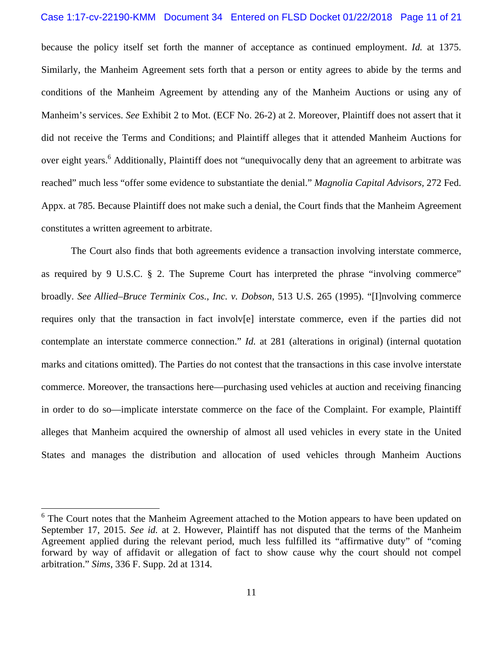#### Case 1:17-cv-22190-KMM Document 34 Entered on FLSD Docket 01/22/2018 Page 11 of 21

because the policy itself set forth the manner of acceptance as continued employment. *Id.* at 1375. Similarly, the Manheim Agreement sets forth that a person or entity agrees to abide by the terms and conditions of the Manheim Agreement by attending any of the Manheim Auctions or using any of Manheim's services. *See* Exhibit 2 to Mot. (ECF No. 26-2) at 2. Moreover, Plaintiff does not assert that it did not receive the Terms and Conditions; and Plaintiff alleges that it attended Manheim Auctions for over eight years.<sup>6</sup> Additionally, Plaintiff does not "unequivocally deny that an agreement to arbitrate was reached" much less "offer some evidence to substantiate the denial." *Magnolia Capital Advisors,* 272 Fed. Appx. at 785. Because Plaintiff does not make such a denial, the Court finds that the Manheim Agreement constitutes a written agreement to arbitrate.

The Court also finds that both agreements evidence a transaction involving interstate commerce, as required by 9 U.S.C. § 2. The Supreme Court has interpreted the phrase "involving commerce" broadly. *See Allied–Bruce Terminix Cos., Inc. v. Dobson*, 513 U.S. 265 (1995). "[I]nvolving commerce requires only that the transaction in fact involv[e] interstate commerce, even if the parties did not contemplate an interstate commerce connection." *Id.* at 281 (alterations in original) (internal quotation marks and citations omitted). The Parties do not contest that the transactions in this case involve interstate commerce. Moreover, the transactions here—purchasing used vehicles at auction and receiving financing in order to do so—implicate interstate commerce on the face of the Complaint. For example, Plaintiff alleges that Manheim acquired the ownership of almost all used vehicles in every state in the United States and manages the distribution and allocation of used vehicles through Manheim Auctions

<sup>&</sup>lt;sup>6</sup> The Court notes that the Manheim Agreement attached to the Motion appears to have been updated on September 17, 2015. *See id.* at 2. However, Plaintiff has not disputed that the terms of the Manheim Agreement applied during the relevant period, much less fulfilled its "affirmative duty" of "coming forward by way of affidavit or allegation of fact to show cause why the court should not compel arbitration." *Sims*, 336 F. Supp. 2d at 1314.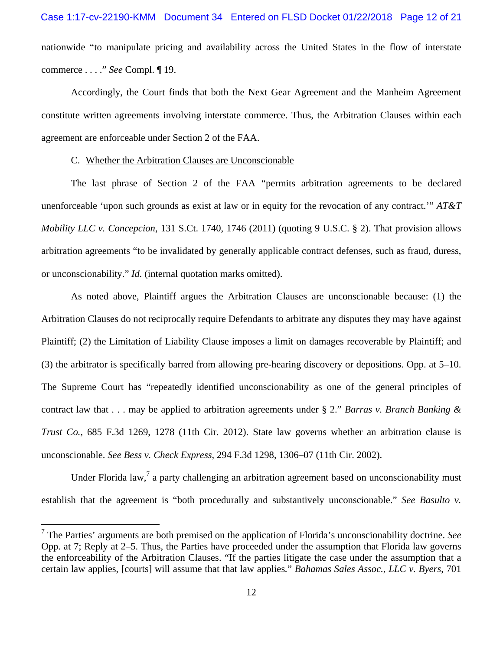nationwide "to manipulate pricing and availability across the United States in the flow of interstate commerce . . . ." *See* Compl. ¶ 19.

Accordingly, the Court finds that both the Next Gear Agreement and the Manheim Agreement constitute written agreements involving interstate commerce. Thus, the Arbitration Clauses within each agreement are enforceable under Section 2 of the FAA.

#### C. Whether the Arbitration Clauses are Unconscionable

 $\overline{a}$ 

The last phrase of Section 2 of the FAA "permits arbitration agreements to be declared unenforceable 'upon such grounds as exist at law or in equity for the revocation of any contract.'" *AT&T Mobility LLC v. Concepcion*, 131 S.Ct. 1740, 1746 (2011) (quoting 9 U.S.C. § 2). That provision allows arbitration agreements "to be invalidated by generally applicable contract defenses, such as fraud, duress, or unconscionability." *Id.* (internal quotation marks omitted).

As noted above, Plaintiff argues the Arbitration Clauses are unconscionable because: (1) the Arbitration Clauses do not reciprocally require Defendants to arbitrate any disputes they may have against Plaintiff; (2) the Limitation of Liability Clause imposes a limit on damages recoverable by Plaintiff; and (3) the arbitrator is specifically barred from allowing pre-hearing discovery or depositions. Opp. at 5–10. The Supreme Court has "repeatedly identified unconscionability as one of the general principles of contract law that . . . may be applied to arbitration agreements under § 2." *Barras v. Branch Banking & Trust Co.*, 685 F.3d 1269, 1278 (11th Cir. 2012). State law governs whether an arbitration clause is unconscionable. *See Bess v. Check Express*, 294 F.3d 1298, 1306–07 (11th Cir. 2002).

Under Florida law,<sup>7</sup> a party challenging an arbitration agreement based on unconscionability must establish that the agreement is "both procedurally and substantively unconscionable." *See Basulto v.* 

<sup>7</sup> The Parties' arguments are both premised on the application of Florida's unconscionability doctrine. *See* Opp. at 7; Reply at 2–5. Thus, the Parties have proceeded under the assumption that Florida law governs the enforceability of the Arbitration Clauses. "If the parties litigate the case under the assumption that a certain law applies, [courts] will assume that that law applies*.*" *Bahamas Sales Assoc., LLC v. Byers*, 701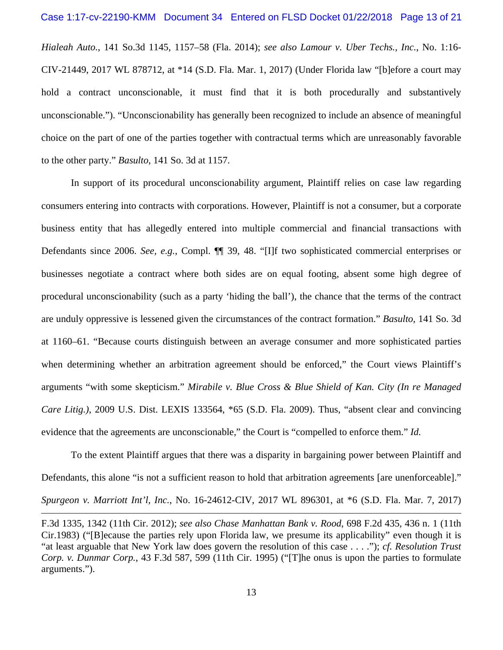*Hialeah Auto.*, 141 So.3d 1145, 1157–58 (Fla. 2014); *see also Lamour v. Uber Techs., Inc.*, No. 1:16- CIV-21449, 2017 WL 878712, at \*14 (S.D. Fla. Mar. 1, 2017) (Under Florida law "[b]efore a court may hold a contract unconscionable, it must find that it is both procedurally and substantively unconscionable."). "Unconscionability has generally been recognized to include an absence of meaningful choice on the part of one of the parties together with contractual terms which are unreasonably favorable to the other party." *Basulto*, 141 So. 3d at 1157.

In support of its procedural unconscionability argument, Plaintiff relies on case law regarding consumers entering into contracts with corporations. However, Plaintiff is not a consumer, but a corporate business entity that has allegedly entered into multiple commercial and financial transactions with Defendants since 2006. *See, e.g.*, Compl. ¶¶ 39, 48. "[I]f two sophisticated commercial enterprises or businesses negotiate a contract where both sides are on equal footing, absent some high degree of procedural unconscionability (such as a party 'hiding the ball'), the chance that the terms of the contract are unduly oppressive is lessened given the circumstances of the contract formation." *Basulto*, 141 So. 3d at 1160–61. "Because courts distinguish between an average consumer and more sophisticated parties when determining whether an arbitration agreement should be enforced," the Court views Plaintiff's arguments "with some skepticism." *Mirabile v. Blue Cross & Blue Shield of Kan. City (In re Managed Care Litig.)*, 2009 U.S. Dist. LEXIS 133564, \*65 (S.D. Fla. 2009). Thus, "absent clear and convincing evidence that the agreements are unconscionable," the Court is "compelled to enforce them." *Id.*

To the extent Plaintiff argues that there was a disparity in bargaining power between Plaintiff and Defendants, this alone "is not a sufficient reason to hold that arbitration agreements [are unenforceable]." *Spurgeon v. Marriott Int'l, Inc.*, No. 16-24612-CIV, 2017 WL 896301, at \*6 (S.D. Fla. Mar. 7, 2017)

F.3d 1335, 1342 (11th Cir. 2012); *see also Chase Manhattan Bank v. Rood*, 698 F.2d 435, 436 n. 1 (11th Cir.1983) ("[B]ecause the parties rely upon Florida law, we presume its applicability" even though it is "at least arguable that New York law does govern the resolution of this case . . . ."); *cf. Resolution Trust Corp. v. Dunmar Corp.*, 43 F.3d 587, 599 (11th Cir. 1995) ("[T]he onus is upon the parties to formulate arguments.").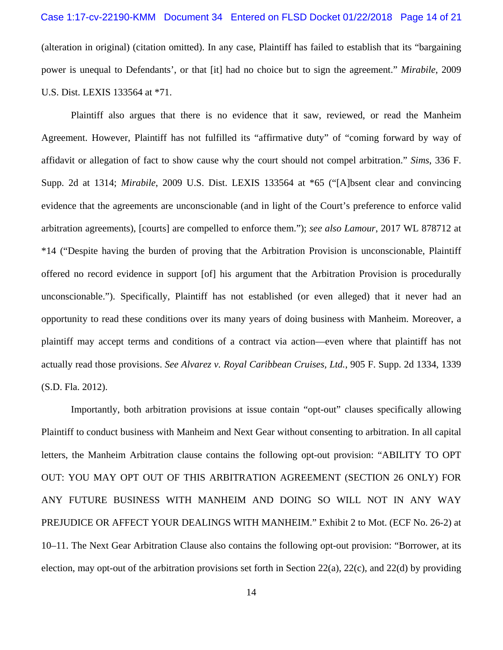### Case 1:17-cv-22190-KMM Document 34 Entered on FLSD Docket 01/22/2018 Page 14 of 21

(alteration in original) (citation omitted). In any case, Plaintiff has failed to establish that its "bargaining power is unequal to Defendants', or that [it] had no choice but to sign the agreement." *Mirabile*, 2009 U.S. Dist. LEXIS 133564 at \*71.

Plaintiff also argues that there is no evidence that it saw, reviewed, or read the Manheim Agreement. However, Plaintiff has not fulfilled its "affirmative duty" of "coming forward by way of affidavit or allegation of fact to show cause why the court should not compel arbitration." *Sims*, 336 F. Supp. 2d at 1314; *Mirabile*, 2009 U.S. Dist. LEXIS 133564 at \*65 ("[A]bsent clear and convincing evidence that the agreements are unconscionable (and in light of the Court's preference to enforce valid arbitration agreements), [courts] are compelled to enforce them."); *see also Lamour*, 2017 WL 878712 at \*14 ("Despite having the burden of proving that the Arbitration Provision is unconscionable, Plaintiff offered no record evidence in support [of] his argument that the Arbitration Provision is procedurally unconscionable."). Specifically, Plaintiff has not established (or even alleged) that it never had an opportunity to read these conditions over its many years of doing business with Manheim. Moreover, a plaintiff may accept terms and conditions of a contract via action—even where that plaintiff has not actually read those provisions. *See Alvarez v. Royal Caribbean Cruises, Ltd.*, 905 F. Supp. 2d 1334, 1339 (S.D. Fla. 2012).

Importantly, both arbitration provisions at issue contain "opt-out" clauses specifically allowing Plaintiff to conduct business with Manheim and Next Gear without consenting to arbitration. In all capital letters, the Manheim Arbitration clause contains the following opt-out provision: "ABILITY TO OPT OUT: YOU MAY OPT OUT OF THIS ARBITRATION AGREEMENT (SECTION 26 ONLY) FOR ANY FUTURE BUSINESS WITH MANHEIM AND DOING SO WILL NOT IN ANY WAY PREJUDICE OR AFFECT YOUR DEALINGS WITH MANHEIM." Exhibit 2 to Mot. (ECF No. 26-2) at 10–11. The Next Gear Arbitration Clause also contains the following opt-out provision: "Borrower, at its election, may opt-out of the arbitration provisions set forth in Section 22(a), 22(c), and 22(d) by providing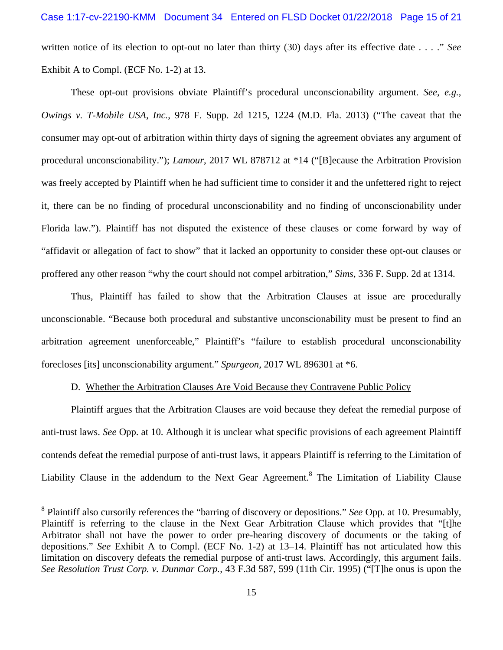written notice of its election to opt-out no later than thirty (30) days after its effective date . . . ." *See* Exhibit A to Compl. (ECF No. 1-2) at 13.

These opt-out provisions obviate Plaintiff's procedural unconscionability argument. *See, e.g.*, *Owings v. T-Mobile USA, Inc.*, 978 F. Supp. 2d 1215, 1224 (M.D. Fla. 2013) ("The caveat that the consumer may opt-out of arbitration within thirty days of signing the agreement obviates any argument of procedural unconscionability."); *Lamour*, 2017 WL 878712 at \*14 ("[B]ecause the Arbitration Provision was freely accepted by Plaintiff when he had sufficient time to consider it and the unfettered right to reject it, there can be no finding of procedural unconscionability and no finding of unconscionability under Florida law."). Plaintiff has not disputed the existence of these clauses or come forward by way of "affidavit or allegation of fact to show" that it lacked an opportunity to consider these opt-out clauses or proffered any other reason "why the court should not compel arbitration," *Sims*, 336 F. Supp. 2d at 1314.

Thus, Plaintiff has failed to show that the Arbitration Clauses at issue are procedurally unconscionable. "Because both procedural and substantive unconscionability must be present to find an arbitration agreement unenforceable," Plaintiff's "failure to establish procedural unconscionability forecloses [its] unconscionability argument." *Spurgeon*, 2017 WL 896301 at \*6.

## D. Whether the Arbitration Clauses Are Void Because they Contravene Public Policy

Plaintiff argues that the Arbitration Clauses are void because they defeat the remedial purpose of anti-trust laws. *See* Opp. at 10. Although it is unclear what specific provisions of each agreement Plaintiff contends defeat the remedial purpose of anti-trust laws, it appears Plaintiff is referring to the Limitation of Liability Clause in the addendum to the Next Gear Agreement.<sup>8</sup> The Limitation of Liability Clause

<sup>8</sup> Plaintiff also cursorily references the "barring of discovery or depositions." *See* Opp. at 10. Presumably, Plaintiff is referring to the clause in the Next Gear Arbitration Clause which provides that "[t]he Arbitrator shall not have the power to order pre-hearing discovery of documents or the taking of depositions." *See* Exhibit A to Compl. (ECF No. 1-2) at 13–14. Plaintiff has not articulated how this limitation on discovery defeats the remedial purpose of anti-trust laws. Accordingly, this argument fails. *See Resolution Trust Corp. v. Dunmar Corp.*, 43 F.3d 587, 599 (11th Cir. 1995) ("[T]he onus is upon the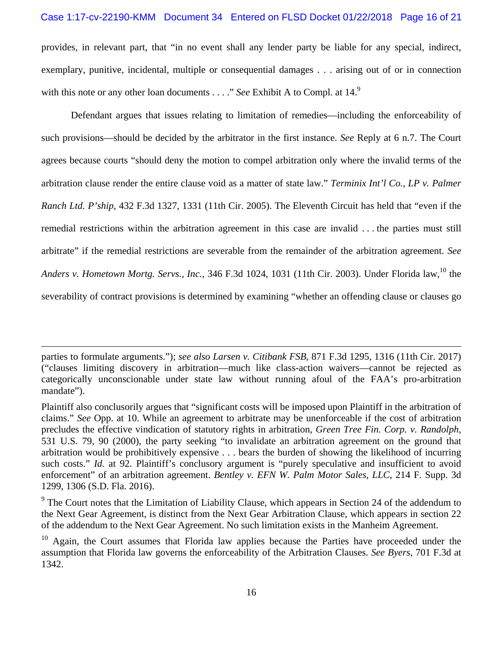## Case 1:17-cv-22190-KMM Document 34 Entered on FLSD Docket 01/22/2018 Page 16 of 21

provides, in relevant part, that "in no event shall any lender party be liable for any special, indirect, exemplary, punitive, incidental, multiple or consequential damages . . . arising out of or in connection with this note or any other loan documents . . . ." *See* Exhibit A to Compl. at 14.<sup>9</sup>

Defendant argues that issues relating to limitation of remedies—including the enforceability of such provisions—should be decided by the arbitrator in the first instance. *See* Reply at 6 n.7. The Court agrees because courts "should deny the motion to compel arbitration only where the invalid terms of the arbitration clause render the entire clause void as a matter of state law." *Terminix Int'l Co., LP v. Palmer Ranch Ltd. P'ship*, 432 F.3d 1327, 1331 (11th Cir. 2005). The Eleventh Circuit has held that "even if the remedial restrictions within the arbitration agreement in this case are invalid . . . the parties must still arbitrate" if the remedial restrictions are severable from the remainder of the arbitration agreement. *See*  Anders v. Hometown Mortg. Servs., Inc., 346 F.3d 1024, 1031 (11th Cir. 2003). Under Florida law.<sup>10</sup> the severability of contract provisions is determined by examining "whether an offending clause or clauses go

parties to formulate arguments."); *see also Larsen v. Citibank FSB*, 871 F.3d 1295, 1316 (11th Cir. 2017) ("clauses limiting discovery in arbitration—much like class-action waivers—cannot be rejected as categorically unconscionable under state law without running afoul of the FAA's pro-arbitration mandate").

Plaintiff also conclusorily argues that "significant costs will be imposed upon Plaintiff in the arbitration of claims." *See* Opp. at 10. While an agreement to arbitrate may be unenforceable if the cost of arbitration precludes the effective vindication of statutory rights in arbitration, *Green Tree Fin. Corp. v. Randolph*, 531 U.S. 79, 90 (2000), the party seeking "to invalidate an arbitration agreement on the ground that arbitration would be prohibitively expensive . . . bears the burden of showing the likelihood of incurring such costs." *Id.* at 92. Plaintiff's conclusory argument is "purely speculative and insufficient to avoid enforcement" of an arbitration agreement. *Bentley v. EFN W. Palm Motor Sales, LLC*, 214 F. Supp. 3d 1299, 1306 (S.D. Fla. 2016).

<sup>&</sup>lt;sup>9</sup> The Court notes that the Limitation of Liability Clause, which appears in Section 24 of the addendum to the Next Gear Agreement, is distinct from the Next Gear Arbitration Clause, which appears in section 22 of the addendum to the Next Gear Agreement. No such limitation exists in the Manheim Agreement.

 $10$  Again, the Court assumes that Florida law applies because the Parties have proceeded under the assumption that Florida law governs the enforceability of the Arbitration Clauses. *See Byers*, 701 F.3d at 1342.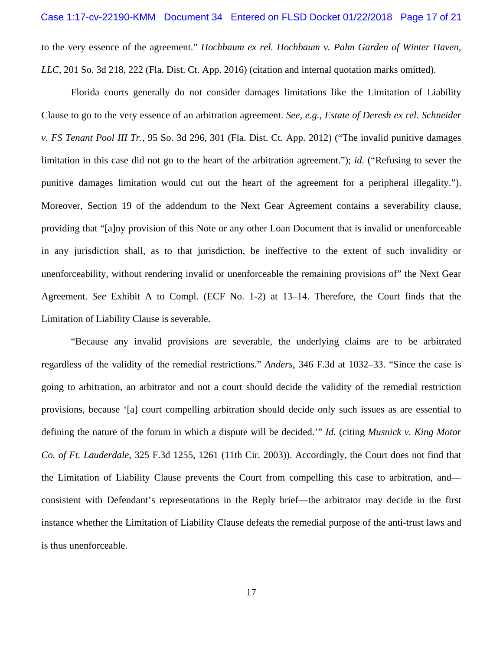to the very essence of the agreement." *Hochbaum ex rel. Hochbaum v. Palm Garden of Winter Haven, LLC*, 201 So. 3d 218, 222 (Fla. Dist. Ct. App. 2016) (citation and internal quotation marks omitted).

Florida courts generally do not consider damages limitations like the Limitation of Liability Clause to go to the very essence of an arbitration agreement. *See, e.g.*, *Estate of Deresh ex rel. Schneider v. FS Tenant Pool III Tr.*, 95 So. 3d 296, 301 (Fla. Dist. Ct. App. 2012) ("The invalid punitive damages limitation in this case did not go to the heart of the arbitration agreement."); *id.* ("Refusing to sever the punitive damages limitation would cut out the heart of the agreement for a peripheral illegality."). Moreover, Section 19 of the addendum to the Next Gear Agreement contains a severability clause, providing that "[a]ny provision of this Note or any other Loan Document that is invalid or unenforceable in any jurisdiction shall, as to that jurisdiction, be ineffective to the extent of such invalidity or unenforceability, without rendering invalid or unenforceable the remaining provisions of" the Next Gear Agreement. *See* Exhibit A to Compl. (ECF No. 1-2) at 13–14. Therefore, the Court finds that the Limitation of Liability Clause is severable.

"Because any invalid provisions are severable, the underlying claims are to be arbitrated regardless of the validity of the remedial restrictions." *Anders*, 346 F.3d at 1032–33. "Since the case is going to arbitration, an arbitrator and not a court should decide the validity of the remedial restriction provisions, because '[a] court compelling arbitration should decide only such issues as are essential to defining the nature of the forum in which a dispute will be decided.'" *Id.* (citing *Musnick v. King Motor Co. of Ft. Lauderdale*, 325 F.3d 1255, 1261 (11th Cir. 2003)). Accordingly, the Court does not find that the Limitation of Liability Clause prevents the Court from compelling this case to arbitration, and consistent with Defendant's representations in the Reply brief—the arbitrator may decide in the first instance whether the Limitation of Liability Clause defeats the remedial purpose of the anti-trust laws and is thus unenforceable.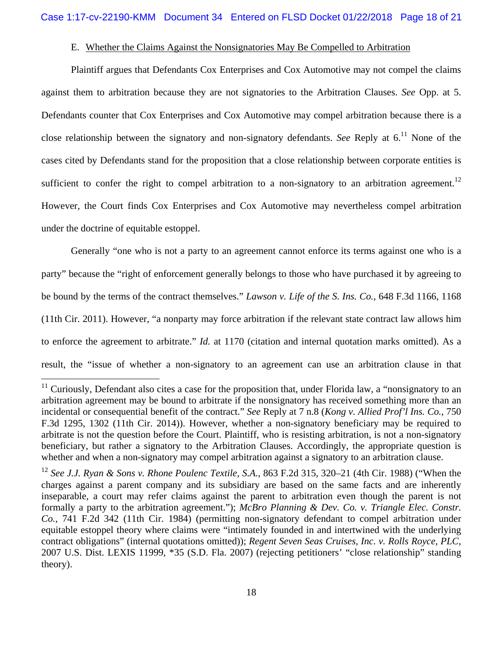## E. Whether the Claims Against the Nonsignatories May Be Compelled to Arbitration

Plaintiff argues that Defendants Cox Enterprises and Cox Automotive may not compel the claims against them to arbitration because they are not signatories to the Arbitration Clauses. *See* Opp. at 5. Defendants counter that Cox Enterprises and Cox Automotive may compel arbitration because there is a close relationship between the signatory and non-signatory defendants. *See* Reply at 6.<sup>11</sup> None of the cases cited by Defendants stand for the proposition that a close relationship between corporate entities is sufficient to confer the right to compel arbitration to a non-signatory to an arbitration agreement.<sup>12</sup> However, the Court finds Cox Enterprises and Cox Automotive may nevertheless compel arbitration under the doctrine of equitable estoppel.

Generally "one who is not a party to an agreement cannot enforce its terms against one who is a party" because the "right of enforcement generally belongs to those who have purchased it by agreeing to be bound by the terms of the contract themselves." *Lawson v. Life of the S. Ins. Co.*, 648 F.3d 1166, 1168 (11th Cir. 2011). However, "a nonparty may force arbitration if the relevant state contract law allows him to enforce the agreement to arbitrate." *Id.* at 1170 (citation and internal quotation marks omitted). As a result, the "issue of whether a non-signatory to an agreement can use an arbitration clause in that

 $11$  Curiously, Defendant also cites a case for the proposition that, under Florida law, a "nonsignatory to an arbitration agreement may be bound to arbitrate if the nonsignatory has received something more than an incidental or consequential benefit of the contract." *See* Reply at 7 n.8 (*Kong v. Allied Prof'l Ins. Co.*, 750 F.3d 1295, 1302 (11th Cir. 2014)). However, whether a non-signatory beneficiary may be required to arbitrate is not the question before the Court. Plaintiff, who is resisting arbitration, is not a non-signatory beneficiary, but rather a signatory to the Arbitration Clauses. Accordingly, the appropriate question is whether and when a non-signatory may compel arbitration against a signatory to an arbitration clause.

<sup>12</sup> *See J.J. Ryan & Sons v. Rhone Poulenc Textile, S.A.*, 863 F.2d 315, 320–21 (4th Cir. 1988) ("When the charges against a parent company and its subsidiary are based on the same facts and are inherently inseparable, a court may refer claims against the parent to arbitration even though the parent is not formally a party to the arbitration agreement."); *McBro Planning & Dev. Co. v. Triangle Elec. Constr. Co.*, 741 F.2d 342 (11th Cir. 1984) (permitting non-signatory defendant to compel arbitration under equitable estoppel theory where claims were "intimately founded in and intertwined with the underlying contract obligations" (internal quotations omitted)); *Regent Seven Seas Cruises, Inc. v. Rolls Royce, PLC*, 2007 U.S. Dist. LEXIS 11999, \*35 (S.D. Fla. 2007) (rejecting petitioners' "close relationship" standing theory).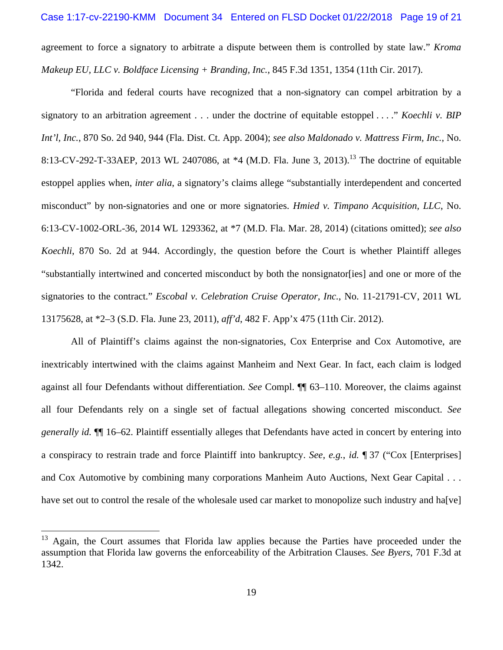agreement to force a signatory to arbitrate a dispute between them is controlled by state law." *Kroma Makeup EU, LLC v. Boldface Licensing + Branding, Inc.*, 845 F.3d 1351, 1354 (11th Cir. 2017).

"Florida and federal courts have recognized that a non-signatory can compel arbitration by a signatory to an arbitration agreement . . . under the doctrine of equitable estoppel . . . ." *Koechli v. BIP Int'l, Inc.*, 870 So. 2d 940, 944 (Fla. Dist. Ct. App. 2004); *see also Maldonado v. Mattress Firm, Inc.*, No. 8:13-CV-292-T-33AEP, 2013 WL 2407086, at  $*4$  (M.D. Fla. June 3, 2013).<sup>13</sup> The doctrine of equitable estoppel applies when, *inter alia*, a signatory's claims allege "substantially interdependent and concerted misconduct" by non-signatories and one or more signatories. *Hmied v. Timpano Acquisition, LLC*, No. 6:13-CV-1002-ORL-36, 2014 WL 1293362, at \*7 (M.D. Fla. Mar. 28, 2014) (citations omitted); *see also Koechli*, 870 So. 2d at 944. Accordingly, the question before the Court is whether Plaintiff alleges "substantially intertwined and concerted misconduct by both the nonsignator[ies] and one or more of the signatories to the contract." *Escobal v. Celebration Cruise Operator, Inc.*, No. 11-21791-CV, 2011 WL 13175628, at \*2–3 (S.D. Fla. June 23, 2011), *aff'd*, 482 F. App'x 475 (11th Cir. 2012).

All of Plaintiff's claims against the non-signatories, Cox Enterprise and Cox Automotive, are inextricably intertwined with the claims against Manheim and Next Gear. In fact, each claim is lodged against all four Defendants without differentiation. *See* Compl. ¶¶ 63–110. Moreover, the claims against all four Defendants rely on a single set of factual allegations showing concerted misconduct. *See generally id.* ¶¶ 16–62. Plaintiff essentially alleges that Defendants have acted in concert by entering into a conspiracy to restrain trade and force Plaintiff into bankruptcy. *See, e.g.*, *id.* ¶ 37 ("Cox [Enterprises] and Cox Automotive by combining many corporations Manheim Auto Auctions, Next Gear Capital . . . have set out to control the resale of the wholesale used car market to monopolize such industry and ha[ve]

<sup>&</sup>lt;sup>13</sup> Again, the Court assumes that Florida law applies because the Parties have proceeded under the assumption that Florida law governs the enforceability of the Arbitration Clauses. *See Byers*, 701 F.3d at 1342.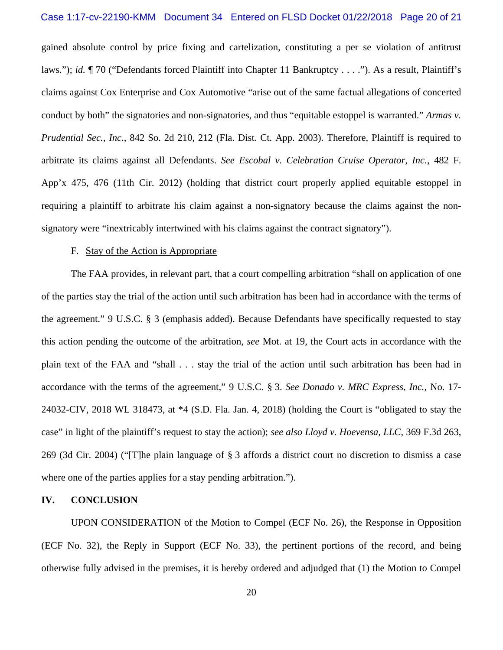#### Case 1:17-cv-22190-KMM Document 34 Entered on FLSD Docket 01/22/2018 Page 20 of 21

gained absolute control by price fixing and cartelization, constituting a per se violation of antitrust laws."); *id.*  $\P$  70 ("Defendants forced Plaintiff into Chapter 11 Bankruptcy . . . ."). As a result, Plaintiff's claims against Cox Enterprise and Cox Automotive "arise out of the same factual allegations of concerted conduct by both" the signatories and non-signatories, and thus "equitable estoppel is warranted." *Armas v. Prudential Sec., Inc.*, 842 So. 2d 210, 212 (Fla. Dist. Ct. App. 2003). Therefore, Plaintiff is required to arbitrate its claims against all Defendants. *See Escobal v. Celebration Cruise Operator, Inc.*, 482 F. App'x 475, 476 (11th Cir. 2012) (holding that district court properly applied equitable estoppel in requiring a plaintiff to arbitrate his claim against a non-signatory because the claims against the nonsignatory were "inextricably intertwined with his claims against the contract signatory").

## F. Stay of the Action is Appropriate

The FAA provides, in relevant part, that a court compelling arbitration "shall on application of one of the parties stay the trial of the action until such arbitration has been had in accordance with the terms of the agreement." 9 U.S.C. § 3 (emphasis added). Because Defendants have specifically requested to stay this action pending the outcome of the arbitration, *see* Mot. at 19, the Court acts in accordance with the plain text of the FAA and "shall . . . stay the trial of the action until such arbitration has been had in accordance with the terms of the agreement," 9 U.S.C. § 3. *See Donado v. MRC Express, Inc.*, No. 17- 24032-CIV, 2018 WL 318473, at \*4 (S.D. Fla. Jan. 4, 2018) (holding the Court is "obligated to stay the case" in light of the plaintiff's request to stay the action); *see also Lloyd v. Hoevensa, LLC*, 369 F.3d 263, 269 (3d Cir. 2004) ("[T]he plain language of § 3 affords a district court no discretion to dismiss a case where one of the parties applies for a stay pending arbitration.").

## **IV. CONCLUSION**

UPON CONSIDERATION of the Motion to Compel (ECF No. 26), the Response in Opposition (ECF No. 32), the Reply in Support (ECF No. 33), the pertinent portions of the record, and being otherwise fully advised in the premises, it is hereby ordered and adjudged that (1) the Motion to Compel